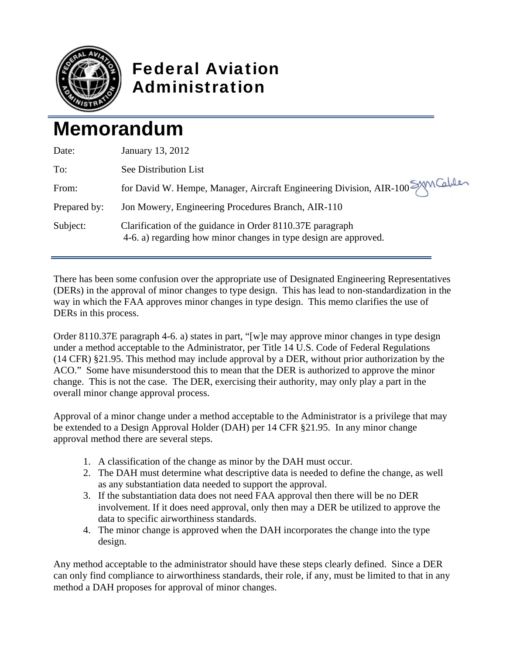

## Federal Aviation Administration

## **Memorandum**

| Date:        | January 13, 2012                                                                                                              |
|--------------|-------------------------------------------------------------------------------------------------------------------------------|
| To:          | See Distribution List                                                                                                         |
| From:        | for David W. Hempe, Manager, Aircraft Engineering Division, AIR-100 SAM Cables                                                |
| Prepared by: | Jon Mowery, Engineering Procedures Branch, AIR-110                                                                            |
| Subject:     | Clarification of the guidance in Order 8110.37E paragraph<br>4-6. a) regarding how minor changes in type design are approved. |

There has been some confusion over the appropriate use of Designated Engineering Representatives (DERs) in the approval of minor changes to type design. This has lead to non-standardization in the way in which the FAA approves minor changes in type design. This memo clarifies the use of DERs in this process.

Order 8110.37E paragraph 4-6. a) states in part, "[w]e may approve minor changes in type design under a method acceptable to the Administrator, per Title 14 U.S. Code of Federal Regulations (14 CFR) §21.95. This method may include approval by a DER, without prior authorization by the ACO." Some have misunderstood this to mean that the DER is authorized to approve the minor change. This is not the case. The DER, exercising their authority, may only play a part in the overall minor change approval process.

Approval of a minor change under a method acceptable to the Administrator is a privilege that may be extended to a Design Approval Holder (DAH) per 14 CFR §21.95. In any minor change approval method there are several steps.

- 1. A classification of the change as minor by the DAH must occur.
- 2. The DAH must determine what descriptive data is needed to define the change, as well as any substantiation data needed to support the approval.
- 3. If the substantiation data does not need FAA approval then there will be no DER involvement. If it does need approval, only then may a DER be utilized to approve the data to specific airworthiness standards.
- 4. The minor change is approved when the DAH incorporates the change into the type design.

Any method acceptable to the administrator should have these steps clearly defined. Since a DER can only find compliance to airworthiness standards, their role, if any, must be limited to that in any method a DAH proposes for approval of minor changes.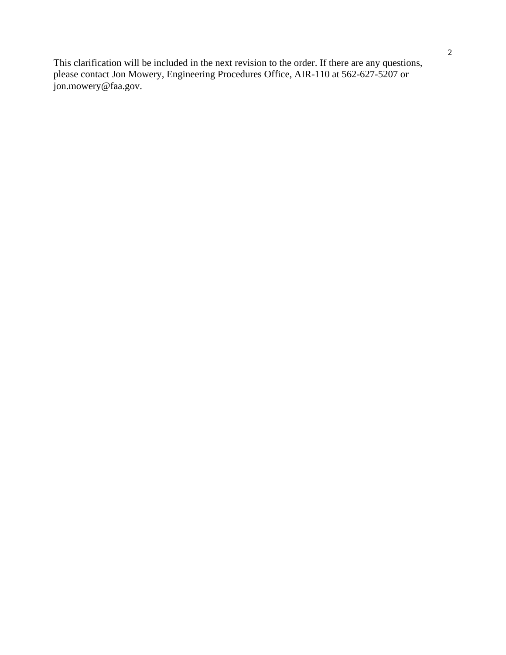This clarification will be included in the next revision to the order. If there are any questions, please contact Jon Mowery, Engineering Procedures Office, AIR-110 at 562-627-5207 or jon.mowery@faa.gov.